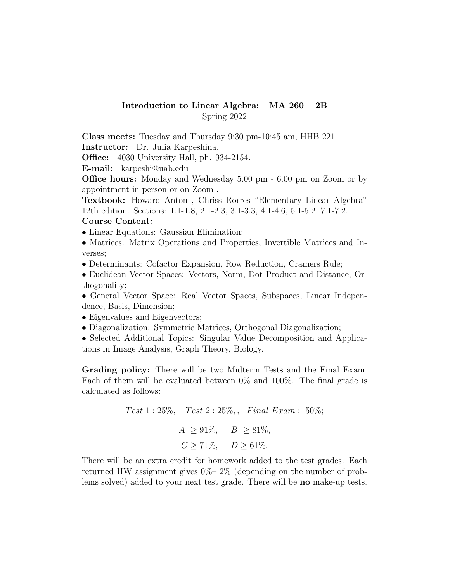## Introduction to Linear Algebra: MA 260 – 2B Spring 2022

Class meets: Tuesday and Thursday 9:30 pm-10:45 am, HHB 221. Instructor: Dr. Julia Karpeshina.

Office: 4030 University Hall, ph. 934-2154.

E-mail: karpeshi@uab.edu

Office hours: Monday and Wednesday 5.00 pm - 6.00 pm on Zoom or by appointment in person or on Zoom .

Textbook: Howard Anton , Chriss Rorres "Elementary Linear Algebra" 12th edition. Sections: 1.1-1.8, 2.1-2.3, 3.1-3.3, 4.1-4.6, 5.1-5.2, 7.1-7.2.

## Course Content:

- Linear Equations: Gaussian Elimination;
- Matrices: Matrix Operations and Properties, Invertible Matrices and Inverses;
- Determinants: Cofactor Expansion, Row Reduction, Cramers Rule;
- Euclidean Vector Spaces: Vectors, Norm, Dot Product and Distance, Orthogonality;

• General Vector Space: Real Vector Spaces, Subspaces, Linear Independence, Basis, Dimension;

- Eigenvalues and Eigenvectors;
- Diagonalization: Symmetric Matrices, Orthogonal Diagonalization;
- Selected Additional Topics: Singular Value Decomposition and Applications in Image Analysis, Graph Theory, Biology.

Grading policy: There will be two Midterm Tests and the Final Exam. Each of them will be evaluated between 0% and 100%. The final grade is calculated as follows:

> Test  $1:25\%,$  Test  $2:25\%,$  Final Exam : 50%;  $A \ge 91\%, \quad B \ge 81\%,$  $C > 71\%, \quad D > 61\%.$

There will be an extra credit for homework added to the test grades. Each returned HW assignment gives 0%– 2% (depending on the number of problems solved) added to your next test grade. There will be no make-up tests.